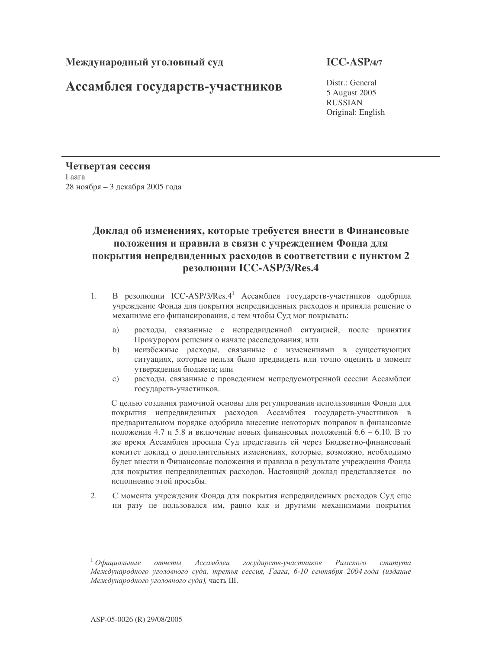## Ассамблея государств-участников

Distr.: General 5 August 2005 RUSSIAN Original: English

Четвертая сессия  $\Gamma$ аага 28 ноября – 3 декабря 2005 года

## Доклад об изменениях, которые требуется внести в Финансовые положения и правила в связи с учреждением Фонда для покрытия непредвиденных расходов в соответствии с пунктом 2 резолюции ICC-ASP/3/Res**.**4

- 1. В резолюции ICC-ASP/3/Res.4<sup>1</sup> Ассамблея государств-участников одобрила учреждение Фонда для покрытия непредвиденных расходов и приняла решение о механизме его финансирования, с тем чтобы Суд мог покрывать:
	- a) расходы, связанные с непредвиденной ситуацией, после принятия Прокурором решения о начале расследования; или
	- b) неизбежные расходы, связанные с изменениями в существующих ситуациях, которые нельзя было предвидеть или точно оценить в момент утверждения бюджета; или
	- с) расходы, связанные с проведением непредусмотренной сессии Ассамблеи государств-участников.

С целью создания рамочной основы для регулирования использования Фонда для покрытия непредвиденных расходов Ассамблея государств-участников в предварительном порядке одобрила внесение некоторых поправок в финансовые положения 4.7 и 5.8 и включение новых финансовых положений 6.6 – 6.10. В то же время Ассамблея просила Суд представить ей через Бюджетно-финансовый комитет доклад о дополнительных изменениях, которые, возможно, необходимо будет внести в Финансовые положения и правила в результате учреждения Фонда для покрытия непредвиденных расходов. Настоящий доклад представляется во исполнение этой просьбы.

2. С момента учреждения Фонда для покрытия непредвиденных расходов Суд еще ни разу не пользовался им, равно как и другими механизмами покрытия

 $^1$  Официальные отчеты Ассамблеи государств-участников Римского статута Международного уголовного суда, третья сессия, Гаага, 6-10 сентября 2004 года (издание Международного уголовного суда), часть III.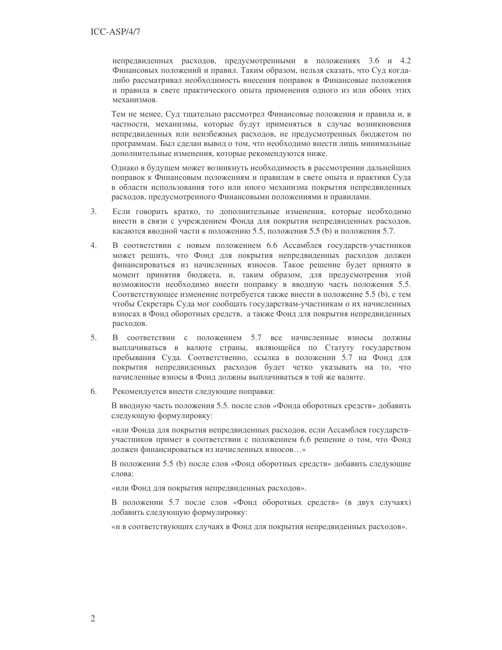непредвиденных расходов, предусмотренными в положениях 3.6 и 4.2 Финансовых положений и правил. Таким образом, нельзя сказать, что Суд когдалибо рассматривал необходимость внесения поправок в Финансовые положения и правила в свете практического опыта применения одного из или обоих этих механизмов.

Тем не менее, Суд тщательно рассмотрел Финансовые положения и правила и, в частности, механизмы, которые будут применяться в случае возникновения непредвиденных или неизбежных расходов, не предусмотренных бюджетом по программам. Был сделан вывод о том, что необходимо внести лишь минимальные дополнительные изменения, которые рекомендуются ниже.

Однако в будущем может возникнуть необходимость в рассмотрении дальнейших поправок к Финансовым положениям и правилам в свете опыта и практики Суда в области использования того или иного механизма покрытия непредвиденных расходов, предусмотренного Финансовыми положениями и правилами.

- $3.$ Если говорить кратко, то дополнительные изменения, которые необходимо внести в связи с учреждением Фонда для покрытия непредвиденных расходов, касаются вводной части к положению 5.5, положения 5.5 (b) и положения 5.7.
- В соответствии с новым положением 6.6 Ассамблея государств-участников 4. может решить, что Фонд для покрытия непредвиденных расходов должен финансироваться из начисленных взносов. Такое решение будет принято в момент принятия бюджета, и, таким образом, для предусмотрения этой возможности необходимо внести поправку в вводную часть положения 5.5. Соответствующее изменение потребуется также внести в положение 5.5 (b), с тем чтобы Секретарь Суда мог сообщать государствам-участникам о их начисленных взносах в Фонд оборотных средств, а также Фонд для покрытия непредвиденных расходов.
- $5.$ В соответствии с положением 5.7 все начисленные взносы должны выплачиваться в валюте страны, являющейся по Статуту государством пребывания Суда. Соответственно, ссылка в положении 5.7 на Фонд для покрытия непредвиденных расходов будет четко указывать на то, что начисленные взносы в Фонд должны выплачиваться в той же валюте.
- 6. Рекомендуется внести следующие поправки:

В вводную часть положения 5.5. после слов «Фонда оборотных средств» добавить следующую формулировку:

«или Фонда для покрытия непредвиденных расходов, если Ассамблея государствучастников примет в соответствии с положением 6.6 решение о том, что Фонд должен финансироваться из начисленных взносов...»

В положении 5.5 (b) после слов «Фонд оборотных средств» добавить следующие слова:

«или Фонд для покрытия непредвиденных расходов».

В положении 5.7 после слов «Фонд оборотных средств» (в двух случаях) добавить следующую формулировку:

«и в соответствующих случаях в Фонд для покрытия непредвиденных расходов».